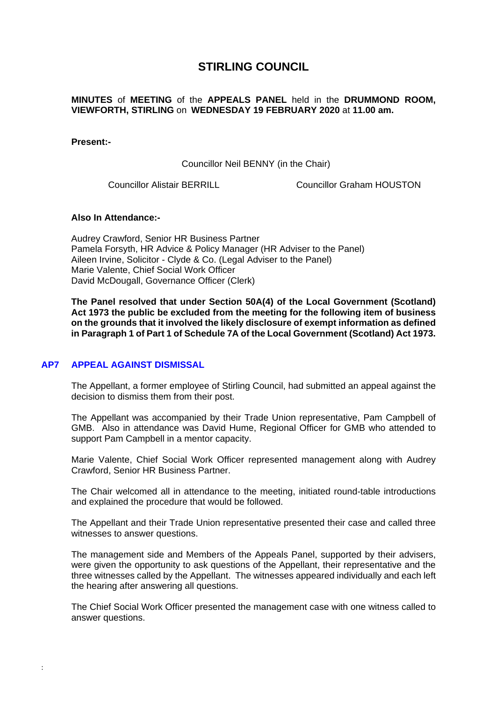# **STIRLING COUNCIL**

## **MINUTES** of **MEETING** of the **APPEALS PANEL** held in the **DRUMMOND ROOM, VIEWFORTH, STIRLING** on **WEDNESDAY 19 FEBRUARY 2020** at **11.00 am.**

#### **Present:-**

Councillor Neil BENNY (in the Chair)

Councillor Alistair BERRILL Councillor Graham HOUSTON

#### **Also In Attendance:-**

Audrey Crawford, Senior HR Business Partner Pamela Forsyth, HR Advice & Policy Manager (HR Adviser to the Panel) Aileen Irvine, Solicitor - Clyde & Co. (Legal Adviser to the Panel) Marie Valente, Chief Social Work Officer David McDougall, Governance Officer (Clerk)

**The Panel resolved that under Section 50A(4) of the Local Government (Scotland) Act 1973 the public be excluded from the meeting for the following item of business on the grounds that it involved the likely disclosure of exempt information as defined in Paragraph 1 of Part 1 of Schedule 7A of the Local Government (Scotland) Act 1973.** 

#### **AP7 [APPEAL AGAINST DISMISSAL](/forms/request.htm)**

:

The Appellant, a former employee of Stirling Council, had submitted an appeal against the decision to dismiss them from their post.

The Appellant was accompanied by their Trade Union representative, Pam Campbell of GMB. Also in attendance was David Hume, Regional Officer for GMB who attended to support Pam Campbell in a mentor capacity.

Marie Valente, Chief Social Work Officer represented management along with Audrey Crawford, Senior HR Business Partner.

The Chair welcomed all in attendance to the meeting, initiated round-table introductions and explained the procedure that would be followed.

The Appellant and their Trade Union representative presented their case and called three witnesses to answer questions.

The management side and Members of the Appeals Panel, supported by their advisers, were given the opportunity to ask questions of the Appellant, their representative and the three witnesses called by the Appellant. The witnesses appeared individually and each left the hearing after answering all questions.

The Chief Social Work Officer presented the management case with one witness called to answer questions.